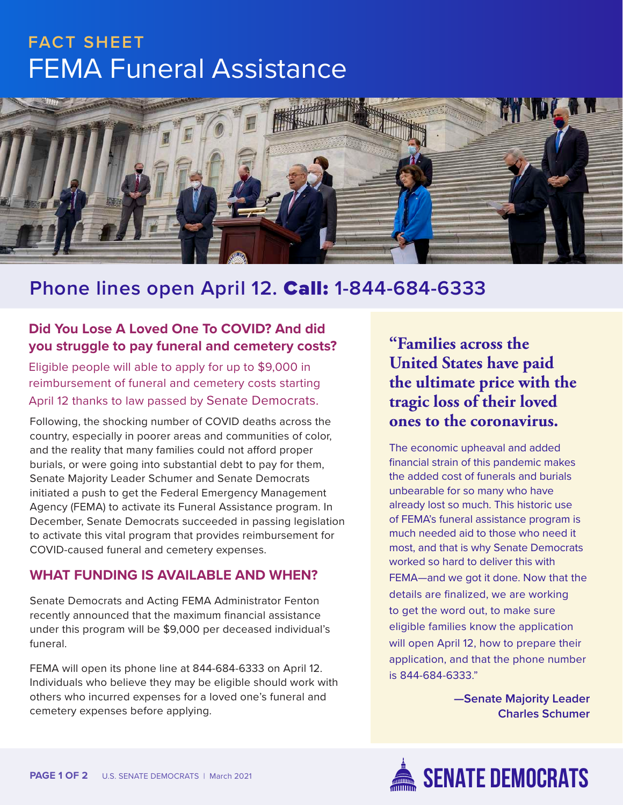# FEMA Funeral Assistance **FACT SHEET**



## **Phone lines open April 12.** Call: **1-844-684-6333**

#### **Did You Lose A Loved One To COVID? And did you struggle to pay funeral and cemetery costs?**

Eligible people will able to apply for up to \$9,000 in reimbursement of funeral and cemetery costs starting April 12 thanks to law passed by Senate Democrats.

Following, the shocking number of COVID deaths across the country, especially in poorer areas and communities of color, and the reality that many families could not afford proper burials, or were going into substantial debt to pay for them, Senate Majority Leader Schumer and Senate Democrats initiated a push to get the Federal Emergency Management Agency (FEMA) to activate its Funeral Assistance program. In December, Senate Democrats succeeded in passing legislation to activate this vital program that provides reimbursement for COVID-caused funeral and cemetery expenses.

#### **WHAT FUNDING IS AVAILABLE AND WHEN?**

Senate Democrats and Acting FEMA Administrator Fenton recently announced that the maximum financial assistance under this program will be \$9,000 per deceased individual's funeral.

FEMA will open its phone line at 844-684-6333 on April 12. Individuals who believe they may be eligible should work with others who incurred expenses for a loved one's funeral and cemetery expenses before applying.

**"Families across the United States have paid the ultimate price with the tragic loss of their loved ones to the coronavirus.** 

The economic upheaval and added financial strain of this pandemic makes the added cost of funerals and burials unbearable for so many who have already lost so much. This historic use of FEMA's funeral assistance program is much needed aid to those who need it most, and that is why Senate Democrats worked so hard to deliver this with FEMA—and we got it done. Now that the details are finalized, we are working to get the word out, to make sure eligible families know the application will open April 12, how to prepare their application, and that the phone number is 844-684-6333."

> **—Senate Majority Leader Charles Schumer**